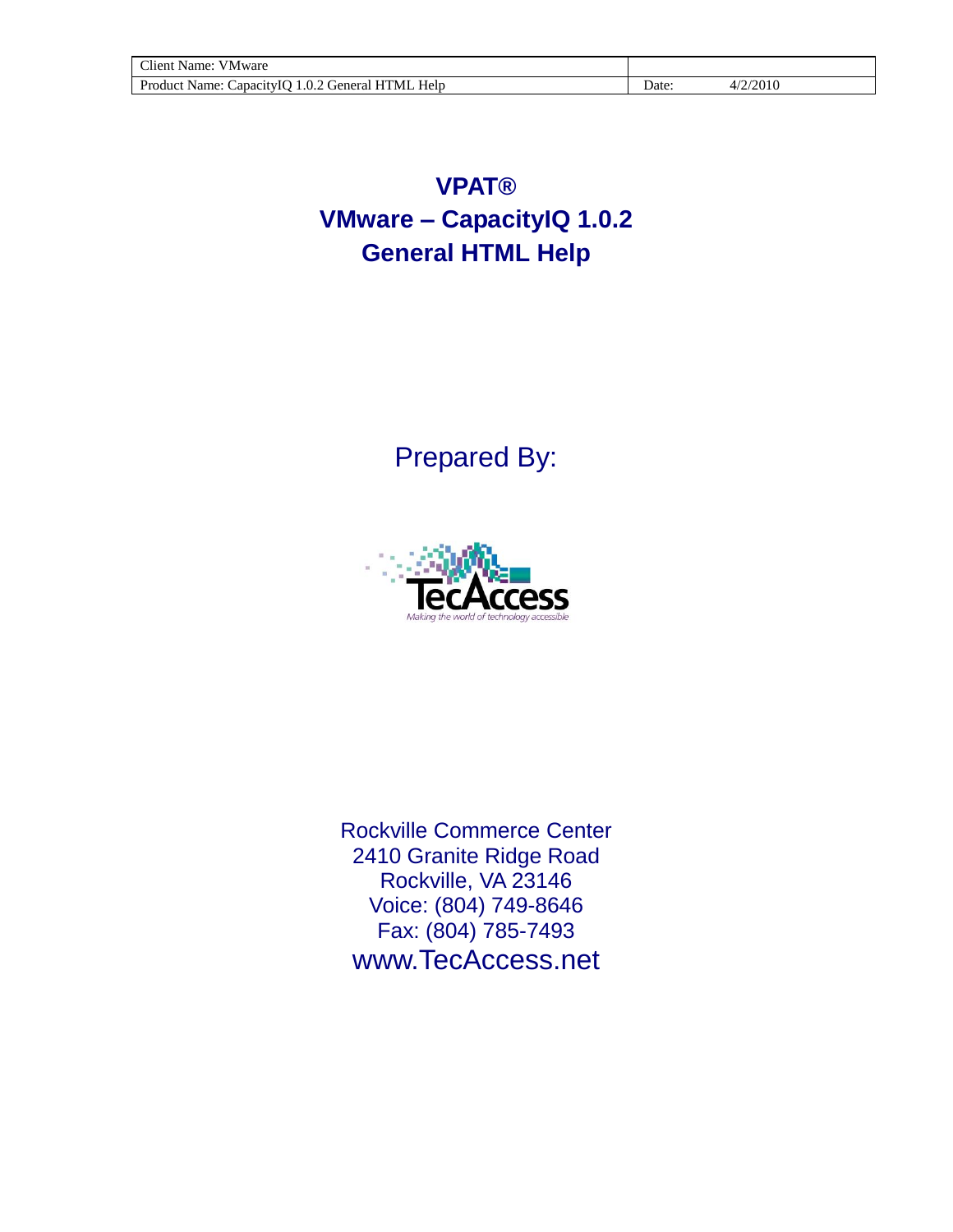# **VPAT® VMware – CapacityIQ 1.0.2 General HTML Help**

Prepared By:



Rockville Commerce Center 2410 Granite Ridge Road Rockville, VA 23146 Voice: (804) 749-8646 Fax: (804) 785-7493 www.TecAccess.net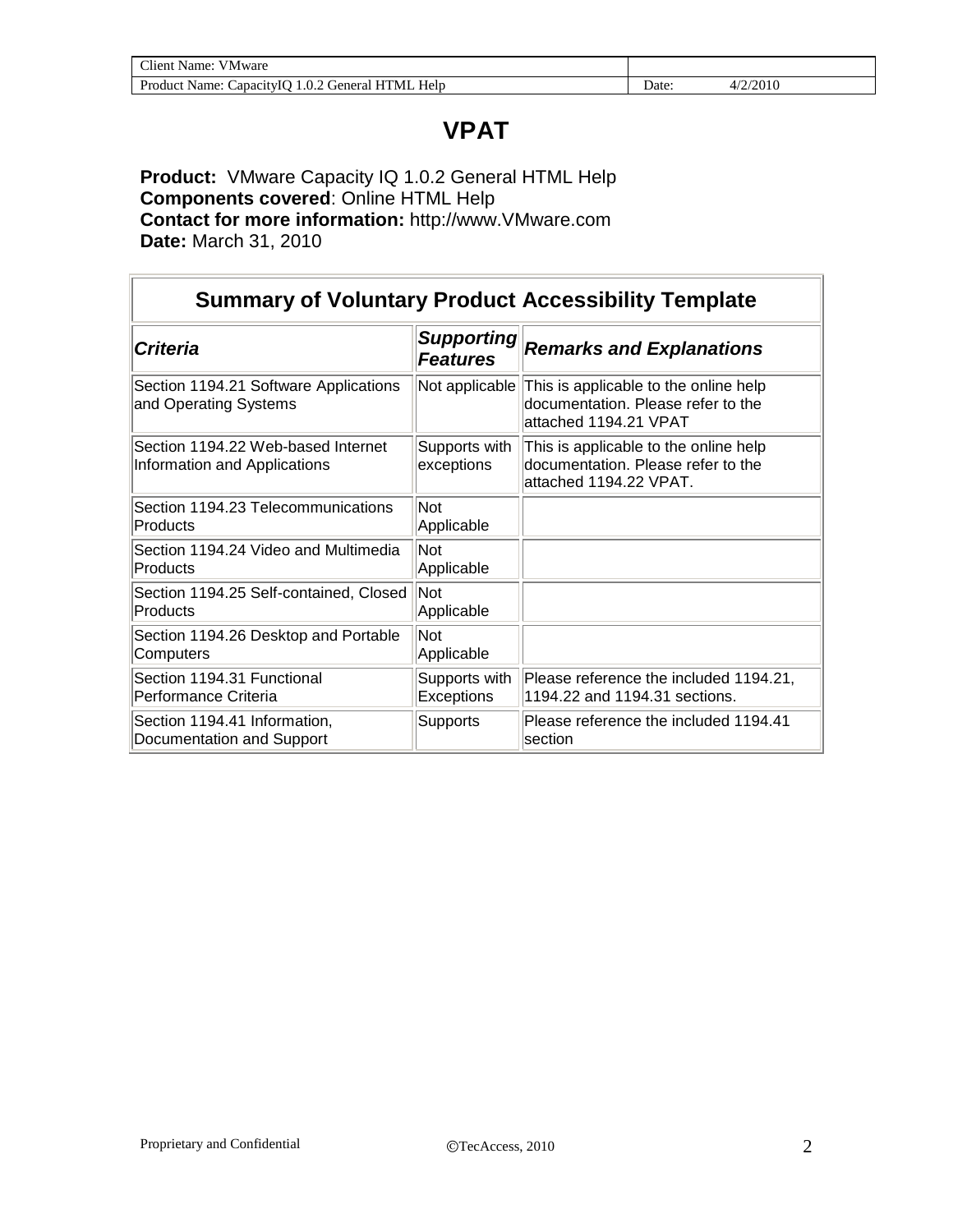# **VPAT**

#### **Product:** VMware Capacity IQ 1.0.2 General HTML Help **Components covered**: Online HTML Help **Contact for more information:** http://www.VMware.com **Date:** March 31, 2010

| <b>Summary of Voluntary Product Accessibility Template</b>         |                                      |                                                                                                       |  |
|--------------------------------------------------------------------|--------------------------------------|-------------------------------------------------------------------------------------------------------|--|
| <b>Criteria</b>                                                    | <b>Supporting</b><br><b>Features</b> | <b>Remarks and Explanations</b>                                                                       |  |
| Section 1194.21 Software Applications<br>and Operating Systems     | Not applicable                       | This is applicable to the online help<br>documentation. Please refer to the<br>attached 1194.21 VPAT  |  |
| Section 1194.22 Web-based Internet<br>Information and Applications | Supports with<br>exceptions          | This is applicable to the online help<br>documentation. Please refer to the<br>attached 1194.22 VPAT. |  |
| Section 1194.23 Telecommunications<br>Products                     | Not<br>Applicable                    |                                                                                                       |  |
| Section 1194.24 Video and Multimedia<br>Products                   | Not<br>Applicable                    |                                                                                                       |  |
| Section 1194.25 Self-contained, Closed<br>Products                 | Not<br>Applicable                    |                                                                                                       |  |
| Section 1194.26 Desktop and Portable<br>Computers                  | Not<br>Applicable                    |                                                                                                       |  |
| Section 1194.31 Functional<br>lPerformance Criteria                | Supports with<br>Exceptions          | Please reference the included 1194.21,<br>1194.22 and 1194.31 sections.                               |  |
| Section 1194.41 Information,<br>Documentation and Support          | Supports                             | Please reference the included 1194.41<br>section                                                      |  |

 $\overline{\mathbf{1}}$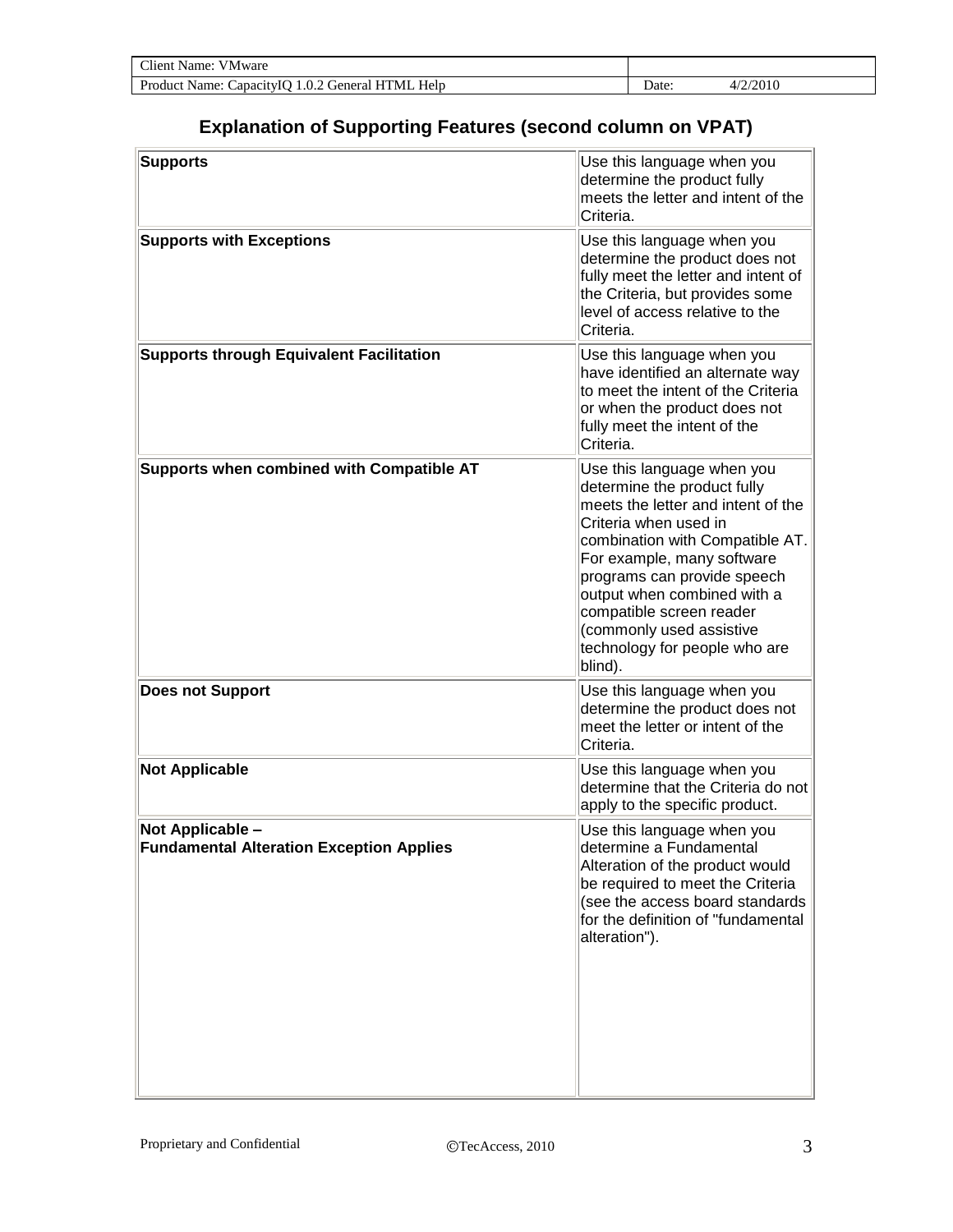| Client Name:<br><b>VMware</b>                     |       |          |  |
|---------------------------------------------------|-------|----------|--|
| Product Name: Capacity IO 1.0.2 General HTML Help | ⊃ate∙ | 4/2/2010 |  |

### **Explanation of Supporting Features (second column on VPAT)**

| Use this language when you<br>determine the product fully<br>meets the letter and intent of the<br>Criteria.                                                                                                                                                                                                                                                |
|-------------------------------------------------------------------------------------------------------------------------------------------------------------------------------------------------------------------------------------------------------------------------------------------------------------------------------------------------------------|
| Use this language when you<br>determine the product does not<br>fully meet the letter and intent of<br>the Criteria, but provides some<br>level of access relative to the<br>Criteria.                                                                                                                                                                      |
| Use this language when you<br>have identified an alternate way<br>to meet the intent of the Criteria<br>or when the product does not<br>fully meet the intent of the<br>Criteria.                                                                                                                                                                           |
| Use this language when you<br>determine the product fully<br>meets the letter and intent of the<br>Criteria when used in<br>combination with Compatible AT.<br>For example, many software<br>programs can provide speech<br>output when combined with a<br>compatible screen reader<br>(commonly used assistive<br>technology for people who are<br>blind). |
| Use this language when you<br>determine the product does not<br>meet the letter or intent of the<br>Criteria.                                                                                                                                                                                                                                               |
| Use this language when you<br>determine that the Criteria do not<br>apply to the specific product.                                                                                                                                                                                                                                                          |
| Use this language when you<br>determine a Fundamental<br>Alteration of the product would<br>be required to meet the Criteria<br>(see the access board standards<br>for the definition of "fundamental<br>alteration").                                                                                                                                      |
|                                                                                                                                                                                                                                                                                                                                                             |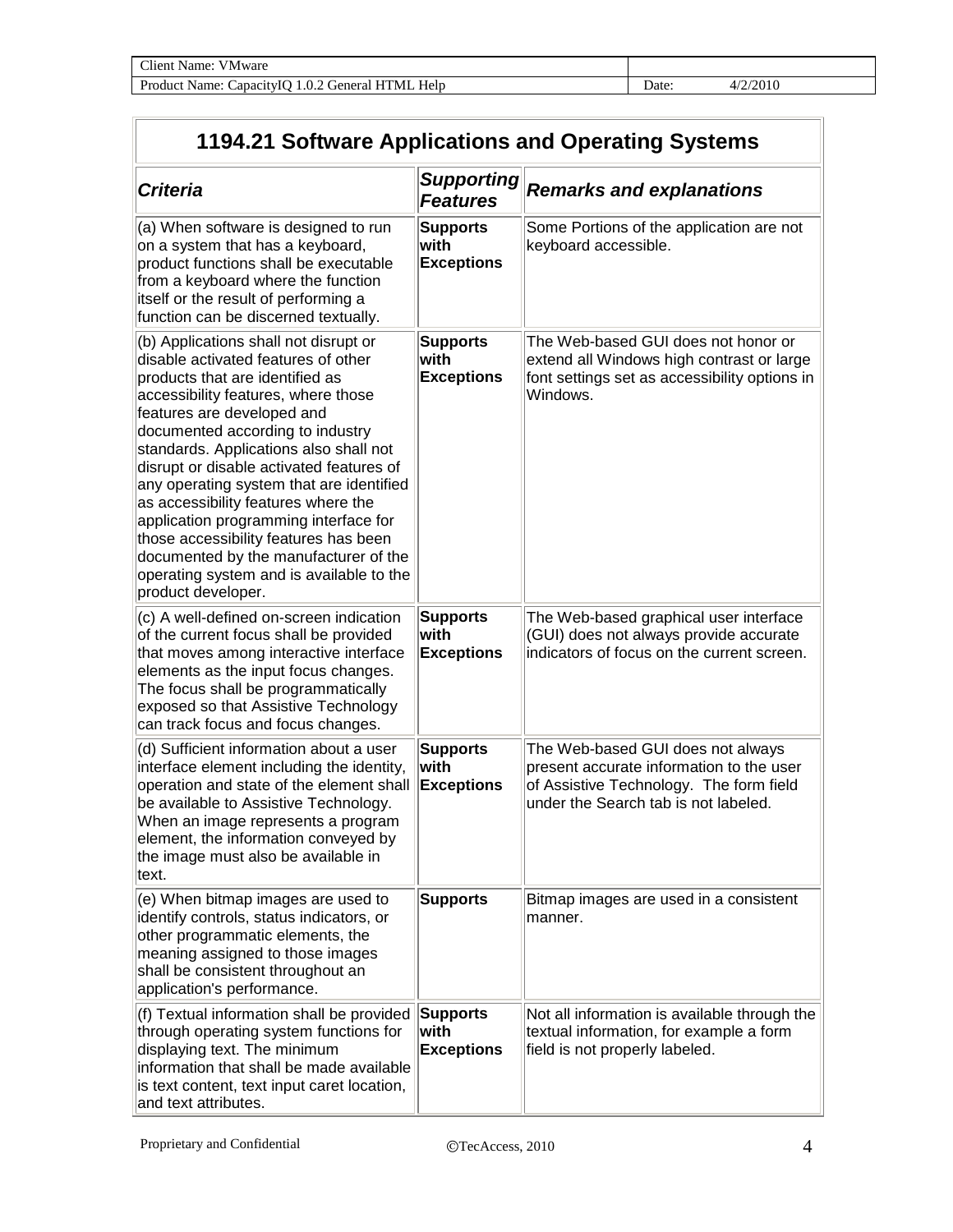| Client Name:<br><b>VMware</b>                            |       |               |
|----------------------------------------------------------|-------|---------------|
| Help<br>CapacityIO 1.0.2 General HTML<br>Product Name: C | Jate: | /2/2010<br>47 |

## **1194.21 Software Applications and Operating Systems**

| <b>Criteria</b>                                                                                                                                                                                                                                                                                                                                                                                                                                                                                                                                                                                | <b>Supporting</b><br><b>Features</b>         | <b>Remarks and explanations</b>                                                                                                                                  |
|------------------------------------------------------------------------------------------------------------------------------------------------------------------------------------------------------------------------------------------------------------------------------------------------------------------------------------------------------------------------------------------------------------------------------------------------------------------------------------------------------------------------------------------------------------------------------------------------|----------------------------------------------|------------------------------------------------------------------------------------------------------------------------------------------------------------------|
| (a) When software is designed to run<br>on a system that has a keyboard,<br>product functions shall be executable<br>from a keyboard where the function<br>itself or the result of performing a<br>function can be discerned textually.                                                                                                                                                                                                                                                                                                                                                        | <b>Supports</b><br>with<br><b>Exceptions</b> | Some Portions of the application are not<br>keyboard accessible.                                                                                                 |
| (b) Applications shall not disrupt or<br>disable activated features of other<br>products that are identified as<br>accessibility features, where those<br>features are developed and<br>documented according to industry<br>standards. Applications also shall not<br>disrupt or disable activated features of<br>any operating system that are identified<br>as accessibility features where the<br>application programming interface for<br>those accessibility features has been<br>documented by the manufacturer of the<br>operating system and is available to the<br>product developer. | <b>Supports</b><br>with<br><b>Exceptions</b> | The Web-based GUI does not honor or<br>extend all Windows high contrast or large<br>font settings set as accessibility options in<br>Windows.                    |
| (c) A well-defined on-screen indication<br>of the current focus shall be provided<br>that moves among interactive interface<br>elements as the input focus changes.<br>The focus shall be programmatically<br>exposed so that Assistive Technology<br>can track focus and focus changes.                                                                                                                                                                                                                                                                                                       | <b>Supports</b><br>with<br><b>Exceptions</b> | The Web-based graphical user interface<br>(GUI) does not always provide accurate<br>indicators of focus on the current screen.                                   |
| (d) Sufficient information about a user<br>interface element including the identity,<br>operation and state of the element shall<br>be available to Assistive Technology.<br>When an image represents a program<br>element, the information conveyed by<br>the image must also be available in<br>∣text.                                                                                                                                                                                                                                                                                       | <b>Supports</b><br>with<br><b>Exceptions</b> | The Web-based GUI does not always<br>present accurate information to the user<br>of Assistive Technology. The form field<br>under the Search tab is not labeled. |
| (e) When bitmap images are used to<br>identify controls, status indicators, or<br>other programmatic elements, the<br>meaning assigned to those images<br>shall be consistent throughout an<br>application's performance.                                                                                                                                                                                                                                                                                                                                                                      | <b>Supports</b>                              | Bitmap images are used in a consistent<br>manner.                                                                                                                |
| (f) Textual information shall be provided<br>through operating system functions for<br>displaying text. The minimum<br>information that shall be made available<br>is text content, text input caret location,<br>and text attributes.                                                                                                                                                                                                                                                                                                                                                         | <b>Supports</b><br>with<br><b>Exceptions</b> | Not all information is available through the<br>textual information, for example a form<br>field is not properly labeled.                                        |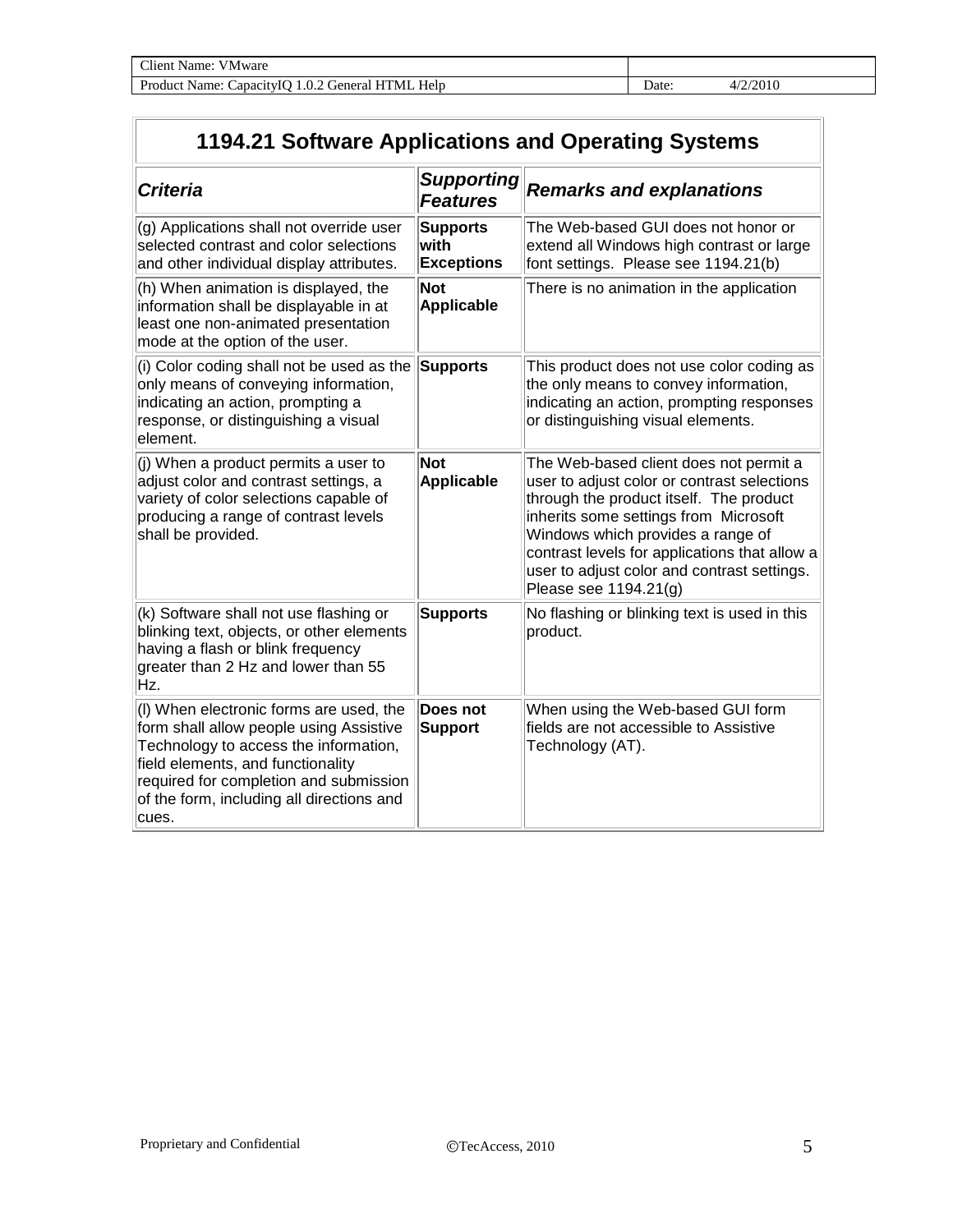| Client Name: VMware                               |      |          |
|---------------------------------------------------|------|----------|
| Product Name: Capacity IO 1.0.2 General HTML Help | Jate | 4/2/2010 |

## **1194.21 Software Applications and Operating Systems**

| <b>Criteria</b>                                                                                                                                                                                                                                                  | <b>Supporting</b><br><b>Features</b>         | <b>Remarks and explanations</b>                                                                                                                                                                                                                                                                                                         |
|------------------------------------------------------------------------------------------------------------------------------------------------------------------------------------------------------------------------------------------------------------------|----------------------------------------------|-----------------------------------------------------------------------------------------------------------------------------------------------------------------------------------------------------------------------------------------------------------------------------------------------------------------------------------------|
| (g) Applications shall not override user<br>selected contrast and color selections<br>and other individual display attributes.                                                                                                                                   | <b>Supports</b><br>with<br><b>Exceptions</b> | The Web-based GUI does not honor or<br>extend all Windows high contrast or large<br>font settings. Please see 1194.21(b)                                                                                                                                                                                                                |
| $(h)$ When animation is displayed, the<br>information shall be displayable in at<br>least one non-animated presentation<br>mode at the option of the user.                                                                                                       | <b>Not</b><br>Applicable                     | There is no animation in the application                                                                                                                                                                                                                                                                                                |
| (i) Color coding shall not be used as the<br>only means of conveying information,<br>indicating an action, prompting a<br>response, or distinguishing a visual<br>element.                                                                                       | <b>Supports</b>                              | This product does not use color coding as<br>the only means to convey information,<br>indicating an action, prompting responses<br>or distinguishing visual elements.                                                                                                                                                                   |
| $\vert$ (j) When a product permits a user to<br>adjust color and contrast settings, a<br>variety of color selections capable of<br>producing a range of contrast levels<br>shall be provided.                                                                    | <b>Not</b><br>Applicable                     | The Web-based client does not permit a<br>user to adjust color or contrast selections<br>through the product itself. The product<br>inherits some settings from Microsoft<br>Windows which provides a range of<br>contrast levels for applications that allow a<br>user to adjust color and contrast settings.<br>Please see 1194.21(g) |
| $(k)$ Software shall not use flashing or<br>blinking text, objects, or other elements<br>having a flash or blink frequency<br>greater than 2 Hz and lower than 55<br>Hz.                                                                                         | <b>Supports</b>                              | No flashing or blinking text is used in this<br>product.                                                                                                                                                                                                                                                                                |
| (I) When electronic forms are used, the<br>form shall allow people using Assistive<br>Technology to access the information,<br>field elements, and functionality<br>required for completion and submission<br>of the form, including all directions and<br>cues. | Does not<br>Support                          | When using the Web-based GUI form<br>fields are not accessible to Assistive<br>Technology (AT).                                                                                                                                                                                                                                         |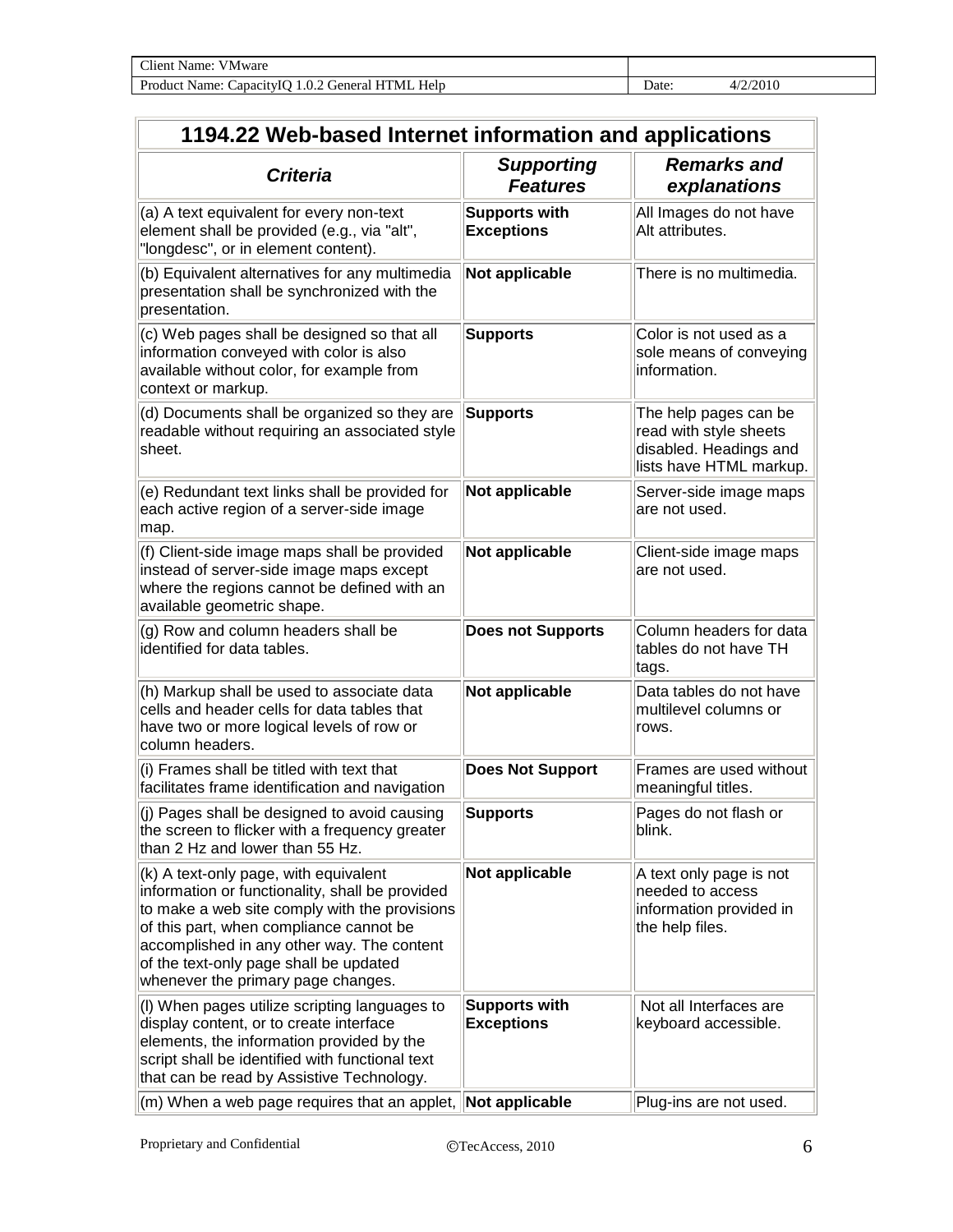| 1194.22 Web-based Internet information and applications                                                                                                                                                                                                                                                              |                                           |                                                                                                      |  |
|----------------------------------------------------------------------------------------------------------------------------------------------------------------------------------------------------------------------------------------------------------------------------------------------------------------------|-------------------------------------------|------------------------------------------------------------------------------------------------------|--|
| <b>Criteria</b>                                                                                                                                                                                                                                                                                                      | <b>Supporting</b><br><b>Features</b>      | <b>Remarks and</b><br>explanations                                                                   |  |
| (a) A text equivalent for every non-text<br>element shall be provided (e.g., via "alt",<br>"longdesc", or in element content).                                                                                                                                                                                       | <b>Supports with</b><br><b>Exceptions</b> | All Images do not have<br>Alt attributes.                                                            |  |
| (b) Equivalent alternatives for any multimedia<br>presentation shall be synchronized with the<br>presentation.                                                                                                                                                                                                       | Not applicable                            | There is no multimedia.                                                                              |  |
| (c) Web pages shall be designed so that all<br>information conveyed with color is also<br>available without color, for example from<br>context or markup.                                                                                                                                                            | <b>Supports</b>                           | Color is not used as a<br>sole means of conveying<br>information.                                    |  |
| (d) Documents shall be organized so they are<br>readable without requiring an associated style<br>sheet.                                                                                                                                                                                                             | <b>Supports</b>                           | The help pages can be<br>read with style sheets<br>disabled. Headings and<br>lists have HTML markup. |  |
| (e) Redundant text links shall be provided for<br>each active region of a server-side image<br>map.                                                                                                                                                                                                                  | Not applicable                            | Server-side image maps<br>are not used.                                                              |  |
| (f) Client-side image maps shall be provided<br>instead of server-side image maps except<br>where the regions cannot be defined with an<br>available geometric shape.                                                                                                                                                | Not applicable                            | Client-side image maps<br>are not used.                                                              |  |
| (g) Row and column headers shall be<br>identified for data tables.                                                                                                                                                                                                                                                   | <b>Does not Supports</b>                  | Column headers for data<br>tables do not have TH<br>tags.                                            |  |
| (h) Markup shall be used to associate data<br>cells and header cells for data tables that<br>have two or more logical levels of row or<br>column headers.                                                                                                                                                            | Not applicable                            | Data tables do not have<br>multilevel columns or<br>rows.                                            |  |
| (i) Frames shall be titled with text that<br>facilitates frame identification and navigation                                                                                                                                                                                                                         | <b>Does Not Support</b>                   | Frames are used without<br>meaningful titles.                                                        |  |
| $\vert$ (j) Pages shall be designed to avoid causing<br>the screen to flicker with a frequency greater<br>than 2 Hz and lower than 55 Hz.                                                                                                                                                                            | <b>Supports</b>                           | Pages do not flash or<br>blink.                                                                      |  |
| $(k)$ A text-only page, with equivalent<br>information or functionality, shall be provided<br>to make a web site comply with the provisions<br>of this part, when compliance cannot be<br>accomplished in any other way. The content<br>of the text-only page shall be updated<br>whenever the primary page changes. | Not applicable                            | A text only page is not<br>needed to access<br>information provided in<br>the help files.            |  |
| (I) When pages utilize scripting languages to<br>display content, or to create interface<br>elements, the information provided by the<br>script shall be identified with functional text<br>that can be read by Assistive Technology.                                                                                | <b>Supports with</b><br><b>Exceptions</b> | Not all Interfaces are<br>keyboard accessible.                                                       |  |
| $\vert$ (m) When a web page requires that an applet, $\vert$ Not applicable                                                                                                                                                                                                                                          |                                           | Plug-ins are not used.                                                                               |  |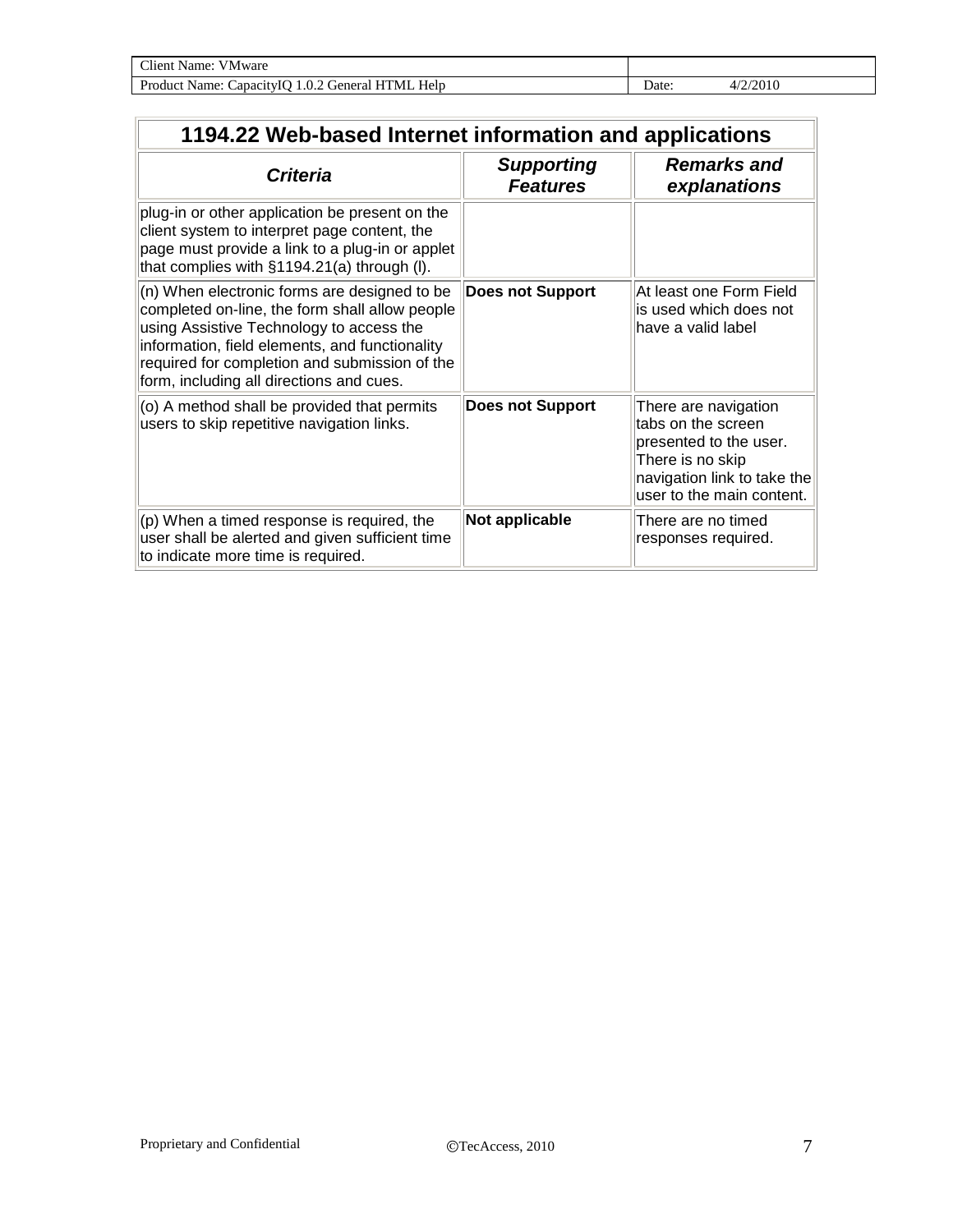| Client Name:<br>VMware                               |      |          |
|------------------------------------------------------|------|----------|
| Help<br>Product Name: Capacity IQ 1.0.2 General HTML | Date | 4/2/2010 |

| 1194.22 Web-based Internet information and applications                                                                                                                                                                                                                                   |                                      |                                                                                                                                                      |  |
|-------------------------------------------------------------------------------------------------------------------------------------------------------------------------------------------------------------------------------------------------------------------------------------------|--------------------------------------|------------------------------------------------------------------------------------------------------------------------------------------------------|--|
| <b>Criteria</b>                                                                                                                                                                                                                                                                           | <b>Supporting</b><br><b>Features</b> | <b>Remarks and</b><br>explanations                                                                                                                   |  |
| plug-in or other application be present on the<br>client system to interpret page content, the<br>page must provide a link to a plug-in or applet<br>that complies with §1194.21(a) through (I).                                                                                          |                                      |                                                                                                                                                      |  |
| (n) When electronic forms are designed to be<br>completed on-line, the form shall allow people<br>using Assistive Technology to access the<br>information, field elements, and functionality<br>required for completion and submission of the<br>form, including all directions and cues. | <b>Does not Support</b>              | At least one Form Field<br>is used which does not<br>have a valid label                                                                              |  |
| (o) A method shall be provided that permits<br>users to skip repetitive navigation links.                                                                                                                                                                                                 | <b>Does not Support</b>              | There are navigation<br>tabs on the screen<br>presented to the user.<br>There is no skip<br>navigation link to take the<br>user to the main content. |  |
| (p) When a timed response is required, the<br>user shall be alerted and given sufficient time<br>to indicate more time is required.                                                                                                                                                       | Not applicable                       | There are no timed<br>responses required.                                                                                                            |  |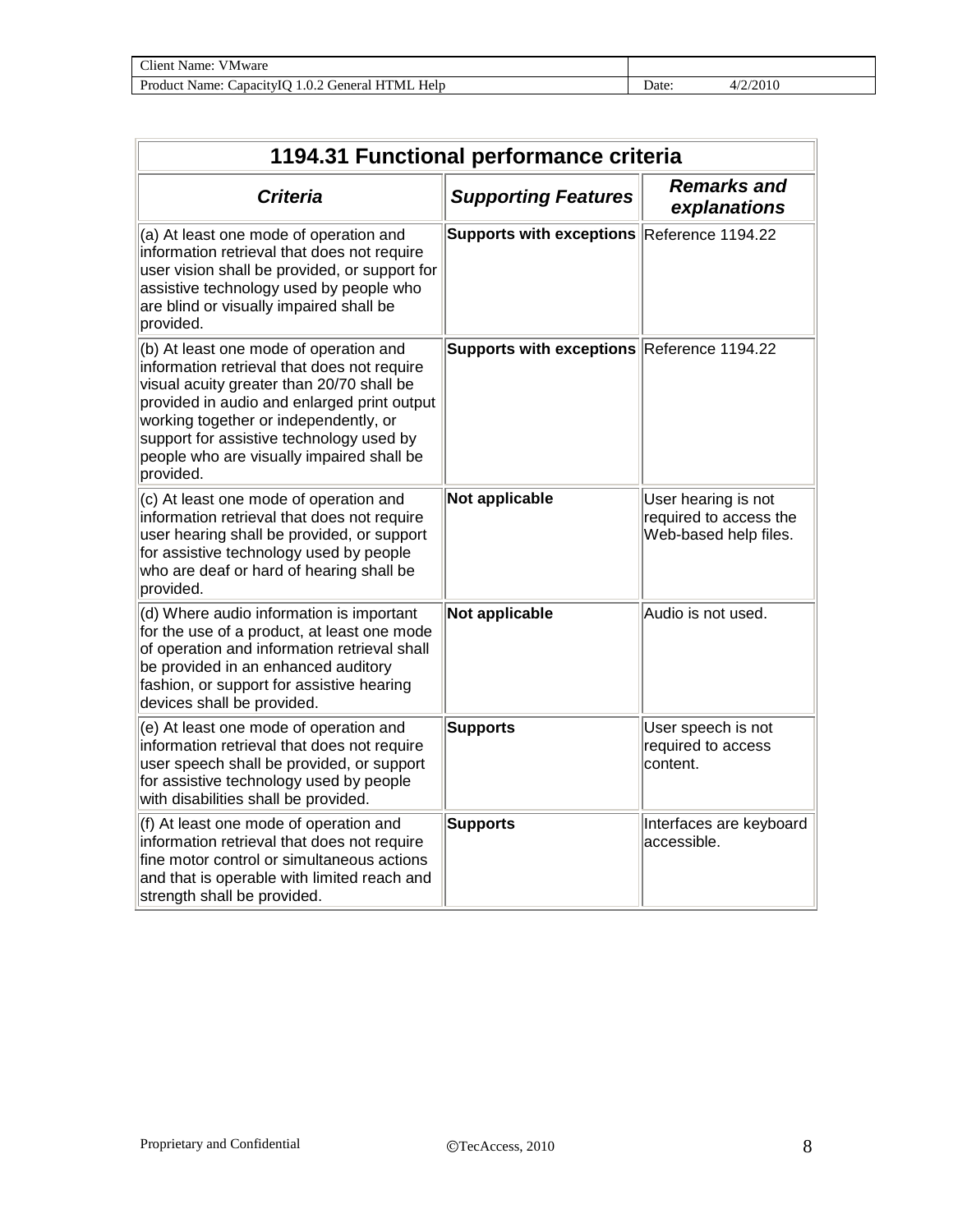| $\gamma$ lient.<br>vame:<br>V M ware<br>.                           |       |                     |  |
|---------------------------------------------------------------------|-------|---------------------|--|
| Product<br>Help<br>General.<br>'UML<br>Name:<br>CapacitylO<br>1.0.2 | ⊃ate: | /2010<br>$\Delta l$ |  |

| 1194.31 Functional performance criteria                                                                                                                                                                                                                                                                                          |                                            |                                                                        |  |  |
|----------------------------------------------------------------------------------------------------------------------------------------------------------------------------------------------------------------------------------------------------------------------------------------------------------------------------------|--------------------------------------------|------------------------------------------------------------------------|--|--|
| <b>Criteria</b>                                                                                                                                                                                                                                                                                                                  | <b>Supporting Features</b>                 | <b>Remarks and</b><br>explanations                                     |  |  |
| (a) At least one mode of operation and<br>information retrieval that does not require<br>user vision shall be provided, or support for<br>assistive technology used by people who<br>are blind or visually impaired shall be<br>provided.                                                                                        | Supports with exceptions Reference 1194.22 |                                                                        |  |  |
| (b) At least one mode of operation and<br>information retrieval that does not require<br>visual acuity greater than 20/70 shall be<br>provided in audio and enlarged print output<br>working together or independently, or<br>support for assistive technology used by<br>people who are visually impaired shall be<br>provided. | Supports with exceptions Reference 1194.22 |                                                                        |  |  |
| (c) At least one mode of operation and<br>information retrieval that does not require<br>user hearing shall be provided, or support<br>for assistive technology used by people<br>who are deaf or hard of hearing shall be<br>provided.                                                                                          | Not applicable                             | User hearing is not<br>required to access the<br>Web-based help files. |  |  |
| (d) Where audio information is important<br>for the use of a product, at least one mode<br>of operation and information retrieval shall<br>be provided in an enhanced auditory<br>fashion, or support for assistive hearing<br>devices shall be provided.                                                                        | Not applicable                             | Audio is not used.                                                     |  |  |
| (e) At least one mode of operation and<br>information retrieval that does not require<br>user speech shall be provided, or support<br>for assistive technology used by people<br>with disabilities shall be provided.                                                                                                            | <b>Supports</b>                            | User speech is not<br>required to access<br>content.                   |  |  |
| (f) At least one mode of operation and<br>information retrieval that does not require<br>fine motor control or simultaneous actions<br>and that is operable with limited reach and<br>strength shall be provided.                                                                                                                | <b>Supports</b>                            | Interfaces are keyboard<br>accessible.                                 |  |  |